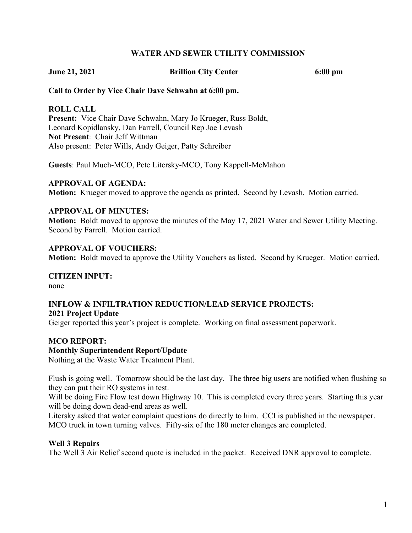#### **WATER AND SEWER UTILITY COMMISSION**

**June 21, 2021 Brillion City Center 6:00 pm**

#### **Call to Order by Vice Chair Dave Schwahn at 6:00 pm.**

#### **ROLL CALL**

**Present:** Vice Chair Dave Schwahn, Mary Jo Krueger, Russ Boldt, Leonard Kopidlansky, Dan Farrell, Council Rep Joe Levash **Not Present**: Chair Jeff Wittman Also present: Peter Wills, Andy Geiger, Patty Schreiber

**Guests**: Paul Much-MCO, Pete Litersky-MCO, Tony Kappell-McMahon

#### **APPROVAL OF AGENDA:**

**Motion:** Krueger moved to approve the agenda as printed. Second by Levash. Motion carried.

#### **APPROVAL OF MINUTES:**

**Motion:** Boldt moved to approve the minutes of the May 17, 2021 Water and Sewer Utility Meeting. Second by Farrell. Motion carried.

#### **APPROVAL OF VOUCHERS:**

**Motion:** Boldt moved to approve the Utility Vouchers as listed. Second by Krueger. Motion carried.

**CITIZEN INPUT:** none

## **INFLOW & INFILTRATION REDUCTION/LEAD SERVICE PROJECTS: 2021 Project Update**

Geiger reported this year's project is complete. Working on final assessment paperwork.

#### **MCO REPORT:**

#### **Monthly Superintendent Report/Update**

Nothing at the Waste Water Treatment Plant.

Flush is going well. Tomorrow should be the last day. The three big users are notified when flushing so they can put their RO systems in test.

Will be doing Fire Flow test down Highway 10. This is completed every three years. Starting this year will be doing down dead-end areas as well.

Litersky asked that water complaint questions do directly to him. CCI is published in the newspaper. MCO truck in town turning valves. Fifty-six of the 180 meter changes are completed.

#### **Well 3 Repairs**

The Well 3 Air Relief second quote is included in the packet. Received DNR approval to complete.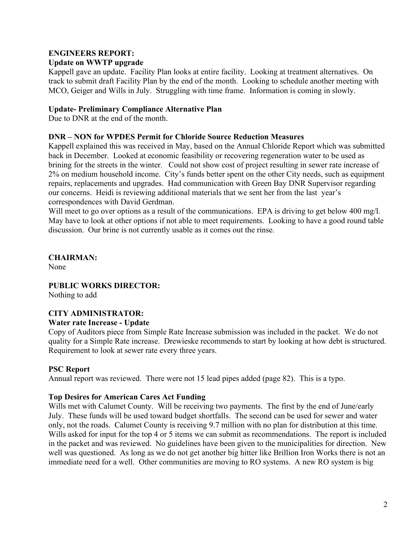# **ENGINEERS REPORT:**

# **Update on WWTP upgrade**

Kappell gave an update. Facility Plan looks at entire facility. Looking at treatment alternatives. On track to submit draft Facility Plan by the end of the month. Looking to schedule another meeting with MCO, Geiger and Wills in July. Struggling with time frame. Information is coming in slowly.

## **Update- Preliminary Compliance Alternative Plan**

Due to DNR at the end of the month.

## **DNR – NON for WPDES Permit for Chloride Source Reduction Measures**

Kappell explained this was received in May, based on the Annual Chloride Report which was submitted back in December. Looked at economic feasibility or recovering regeneration water to be used as brining for the streets in the winter. Could not show cost of project resulting in sewer rate increase of 2% on medium household income. City's funds better spent on the other City needs, such as equipment repairs, replacements and upgrades. Had communication with Green Bay DNR Supervisor regarding our concerns. Heidi is reviewing additional materials that we sent her from the last year's correspondences with David Gerdman.

Will meet to go over options as a result of the communications. EPA is driving to get below 400 mg/l. May have to look at other options if not able to meet requirements. Looking to have a good round table discussion. Our brine is not currently usable as it comes out the rinse.

**CHAIRMAN:** None

**PUBLIC WORKS DIRECTOR:** Nothing to add

## **CITY ADMINISTRATOR:**

## **Water rate Increase - Update**

Copy of Auditors piece from Simple Rate Increase submission was included in the packet. We do not quality for a Simple Rate increase. Drewieske recommends to start by looking at how debt is structured. Requirement to look at sewer rate every three years.

## **PSC Report**

Annual report was reviewed. There were not 15 lead pipes added (page 82). This is a typo.

## **Top Desires for American Cares Act Funding**

Wills met with Calumet County. Will be receiving two payments. The first by the end of June/early July. These funds will be used toward budget shortfalls. The second can be used for sewer and water only, not the roads. Calumet County is receiving 9.7 million with no plan for distribution at this time. Wills asked for input for the top 4 or 5 items we can submit as recommendations. The report is included in the packet and was reviewed. No guidelines have been given to the municipalities for direction. New well was questioned. As long as we do not get another big hitter like Brillion Iron Works there is not an immediate need for a well. Other communities are moving to RO systems. A new RO system is big